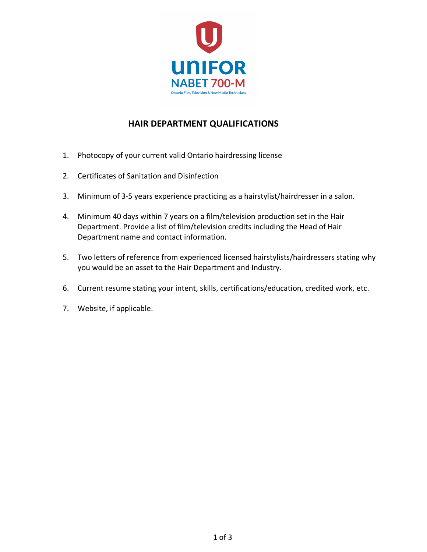

## **HAIR DEPARTMENT QUALIFICATIONS**

- 1. Photocopy of your current valid Ontario hairdressing license
- 2. Certificates of Sanitation and Disinfection
- 3. Minimum of 3-5 years experience practicing as a hairstylist/hairdresser in a salon.
- 4. Minimum 40 days within 7 years on a film/television production set in the Hair Department. Provide a list of film/television credits including the Head of Hair Department name and contact information.
- 5. Two letters of reference from experienced licensed hairstylists/hairdressers stating why you would be an asset to the Hair Department and Industry.
- 6. Current resume stating your intent, skills, certifications/education, credited work, etc.
- 7. Website, if applicable.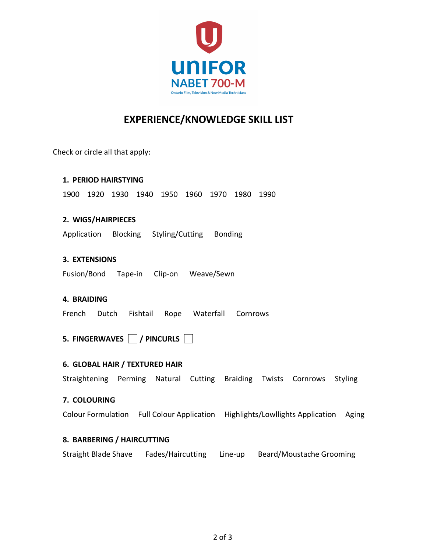

# **EXPERIENCE/KNOWLEDGE SKILL LIST**

Check or circle all that apply:

### **1. PERIOD HAIRSTYING**

1900 1920 1930 1940 1950 1960 1970 1980 1990

### **2. WIGS/HAIRPIECES**

Application Blocking Styling/Cutting Bonding

### **3. EXTENSIONS**

Fusion/Bond Tape-in Clip-on Weave/Sewn

### **4. BRAIDING**

French Dutch Fishtail Rope Waterfall Cornrows

### **5. FINGERWAVES / PINCURLS**

### **6. GLOBAL HAIR / TEXTURED HAIR**

Straightening Perming Natural Cutting Braiding Twists Cornrows Styling

#### **7. COLOURING**

Colour Formulation Full Colour Application Highlights/Lowllights Application Aging

### **8. BARBERING / HAIRCUTTING**

Straight Blade Shave Fades/Haircutting Line-up Beard/Moustache Grooming